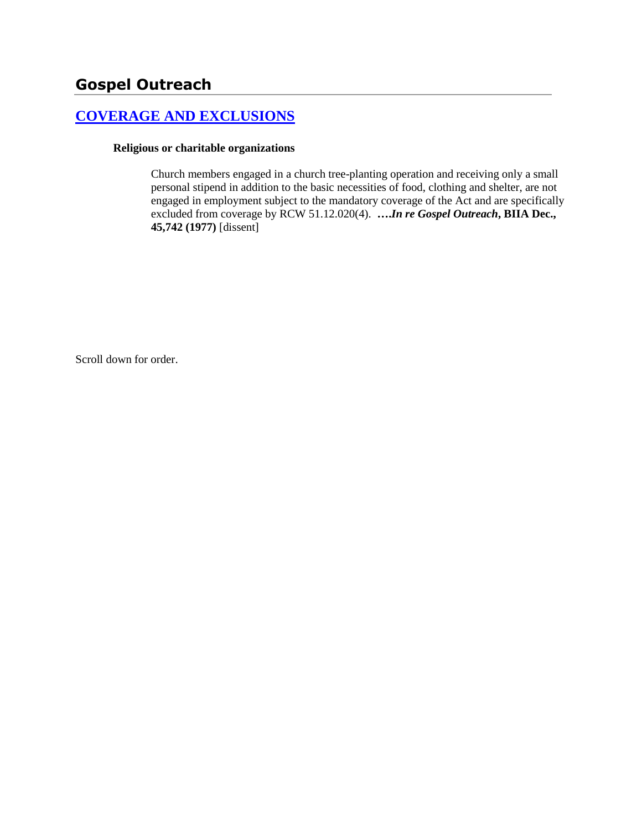# **[COVERAGE AND EXCLUSIONS](http://www.biia.wa.gov/SDSubjectIndex.html#COVERAGE_AND_EXCLUSIONS)**

#### **Religious or charitable organizations**

Church members engaged in a church tree-planting operation and receiving only a small personal stipend in addition to the basic necessities of food, clothing and shelter, are not engaged in employment subject to the mandatory coverage of the Act and are specifically excluded from coverage by RCW 51.12.020(4). **….***In re Gospel Outreach***, BIIA Dec., 45,742 (1977)** [dissent]

Scroll down for order.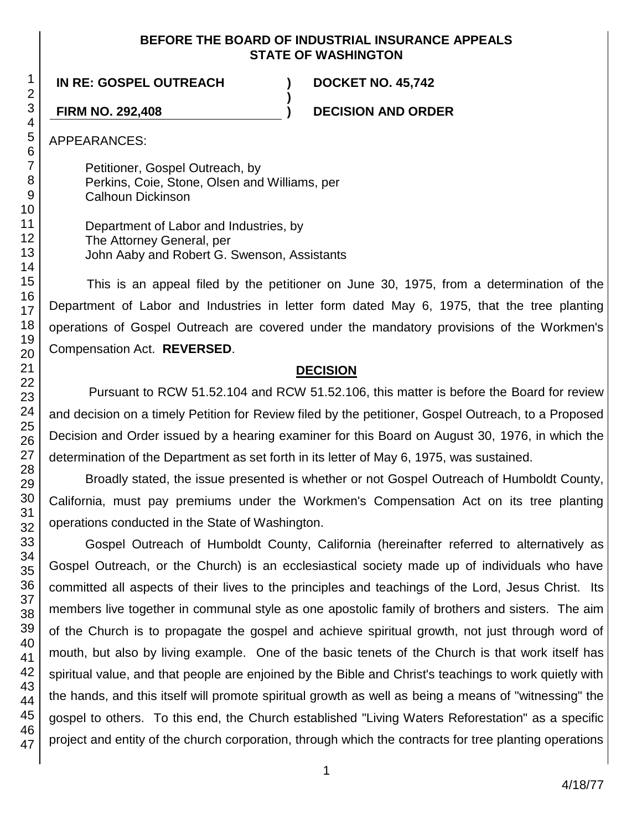#### **BEFORE THE BOARD OF INDUSTRIAL INSURANCE APPEALS STATE OF WASHINGTON**

**)**

**IN RE: GOSPEL OUTREACH ) DOCKET NO. 45,742**

**FIRM NO. 292,408 ) DECISION AND ORDER**

APPEARANCES:

Petitioner, Gospel Outreach, by Perkins, Coie, Stone, Olsen and Williams, per Calhoun Dickinson

Department of Labor and Industries, by The Attorney General, per John Aaby and Robert G. Swenson, Assistants

This is an appeal filed by the petitioner on June 30, 1975, from a determination of the Department of Labor and Industries in letter form dated May 6, 1975, that the tree planting operations of Gospel Outreach are covered under the mandatory provisions of the Workmen's Compensation Act. **REVERSED**.

## **DECISION**

Pursuant to RCW 51.52.104 and RCW 51.52.106, this matter is before the Board for review and decision on a timely Petition for Review filed by the petitioner, Gospel Outreach, to a Proposed Decision and Order issued by a hearing examiner for this Board on August 30, 1976, in which the determination of the Department as set forth in its letter of May 6, 1975, was sustained.

Broadly stated, the issue presented is whether or not Gospel Outreach of Humboldt County, California, must pay premiums under the Workmen's Compensation Act on its tree planting operations conducted in the State of Washington.

Gospel Outreach of Humboldt County, California (hereinafter referred to alternatively as Gospel Outreach, or the Church) is an ecclesiastical society made up of individuals who have committed all aspects of their lives to the principles and teachings of the Lord, Jesus Christ. Its members live together in communal style as one apostolic family of brothers and sisters. The aim of the Church is to propagate the gospel and achieve spiritual growth, not just through word of mouth, but also by living example. One of the basic tenets of the Church is that work itself has spiritual value, and that people are enjoined by the Bible and Christ's teachings to work quietly with the hands, and this itself will promote spiritual growth as well as being a means of "witnessing" the gospel to others. To this end, the Church established "Living Waters Reforestation" as a specific project and entity of the church corporation, through which the contracts for tree planting operations

47

1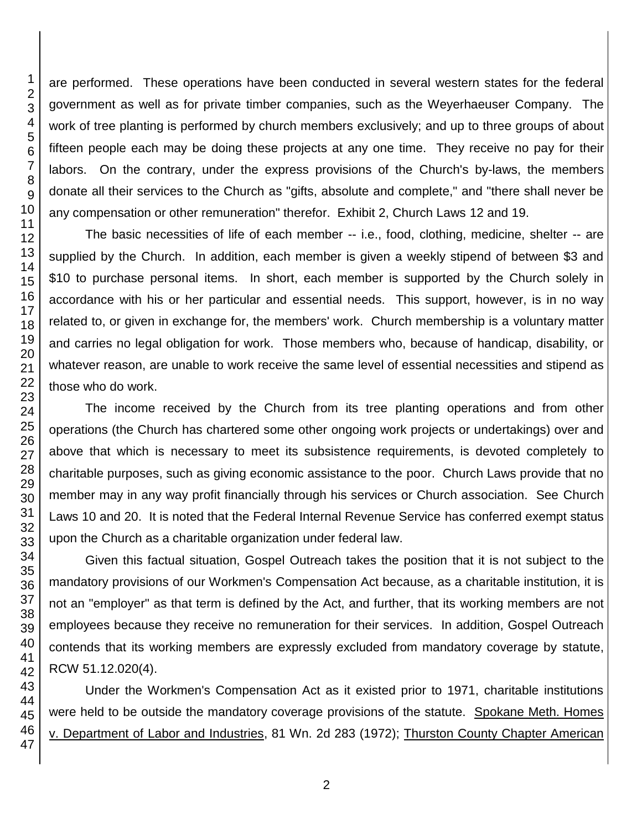are performed. These operations have been conducted in several western states for the federal government as well as for private timber companies, such as the Weyerhaeuser Company. The work of tree planting is performed by church members exclusively; and up to three groups of about fifteen people each may be doing these projects at any one time. They receive no pay for their labors. On the contrary, under the express provisions of the Church's by-laws, the members donate all their services to the Church as "gifts, absolute and complete," and "there shall never be any compensation or other remuneration" therefor. Exhibit 2, Church Laws 12 and 19.

The basic necessities of life of each member -- i.e., food, clothing, medicine, shelter -- are supplied by the Church. In addition, each member is given a weekly stipend of between \$3 and \$10 to purchase personal items. In short, each member is supported by the Church solely in accordance with his or her particular and essential needs. This support, however, is in no way related to, or given in exchange for, the members' work. Church membership is a voluntary matter and carries no legal obligation for work. Those members who, because of handicap, disability, or whatever reason, are unable to work receive the same level of essential necessities and stipend as those who do work.

The income received by the Church from its tree planting operations and from other operations (the Church has chartered some other ongoing work projects or undertakings) over and above that which is necessary to meet its subsistence requirements, is devoted completely to charitable purposes, such as giving economic assistance to the poor. Church Laws provide that no member may in any way profit financially through his services or Church association. See Church Laws 10 and 20. It is noted that the Federal Internal Revenue Service has conferred exempt status upon the Church as a charitable organization under federal law.

Given this factual situation, Gospel Outreach takes the position that it is not subject to the mandatory provisions of our Workmen's Compensation Act because, as a charitable institution, it is not an "employer" as that term is defined by the Act, and further, that its working members are not employees because they receive no remuneration for their services. In addition, Gospel Outreach contends that its working members are expressly excluded from mandatory coverage by statute, RCW 51.12.020(4).

Under the Workmen's Compensation Act as it existed prior to 1971, charitable institutions were held to be outside the mandatory coverage provisions of the statute. Spokane Meth. Homes v. Department of Labor and Industries, 81 Wn. 2d 283 (1972); Thurston County Chapter American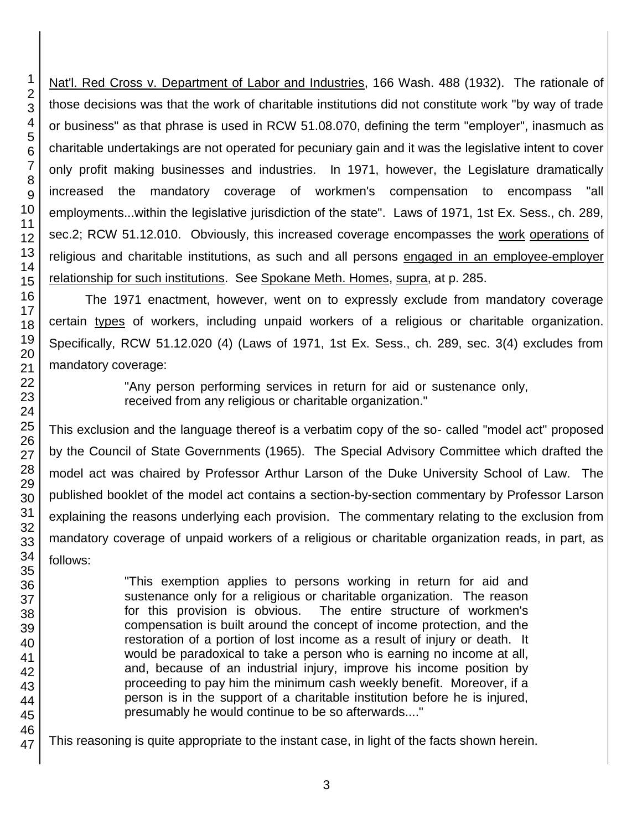Nat'l. Red Cross v. Department of Labor and Industries, 166 Wash. 488 (1932). The rationale of those decisions was that the work of charitable institutions did not constitute work "by way of trade or business" as that phrase is used in RCW 51.08.070, defining the term "employer", inasmuch as charitable undertakings are not operated for pecuniary gain and it was the legislative intent to cover only profit making businesses and industries. In 1971, however, the Legislature dramatically increased the mandatory coverage of workmen's compensation to encompass "all employments...within the legislative jurisdiction of the state". Laws of 1971, 1st Ex. Sess., ch. 289, sec.2; RCW 51.12.010. Obviously, this increased coverage encompasses the work operations of religious and charitable institutions, as such and all persons engaged in an employee-employer relationship for such institutions. See Spokane Meth. Homes, supra, at p. 285.

The 1971 enactment, however, went on to expressly exclude from mandatory coverage certain types of workers, including unpaid workers of a religious or charitable organization. Specifically, RCW 51.12.020 (4) (Laws of 1971, 1st Ex. Sess., ch. 289, sec. 3(4) excludes from mandatory coverage:

> "Any person performing services in return for aid or sustenance only, received from any religious or charitable organization."

This exclusion and the language thereof is a verbatim copy of the so- called "model act" proposed by the Council of State Governments (1965). The Special Advisory Committee which drafted the model act was chaired by Professor Arthur Larson of the Duke University School of Law. The published booklet of the model act contains a section-by-section commentary by Professor Larson explaining the reasons underlying each provision. The commentary relating to the exclusion from mandatory coverage of unpaid workers of a religious or charitable organization reads, in part, as follows:

> "This exemption applies to persons working in return for aid and sustenance only for a religious or charitable organization. The reason for this provision is obvious. The entire structure of workmen's compensation is built around the concept of income protection, and the restoration of a portion of lost income as a result of injury or death. It would be paradoxical to take a person who is earning no income at all, and, because of an industrial injury, improve his income position by proceeding to pay him the minimum cash weekly benefit. Moreover, if a person is in the support of a charitable institution before he is injured, presumably he would continue to be so afterwards...."

This reasoning is quite appropriate to the instant case, in light of the facts shown herein.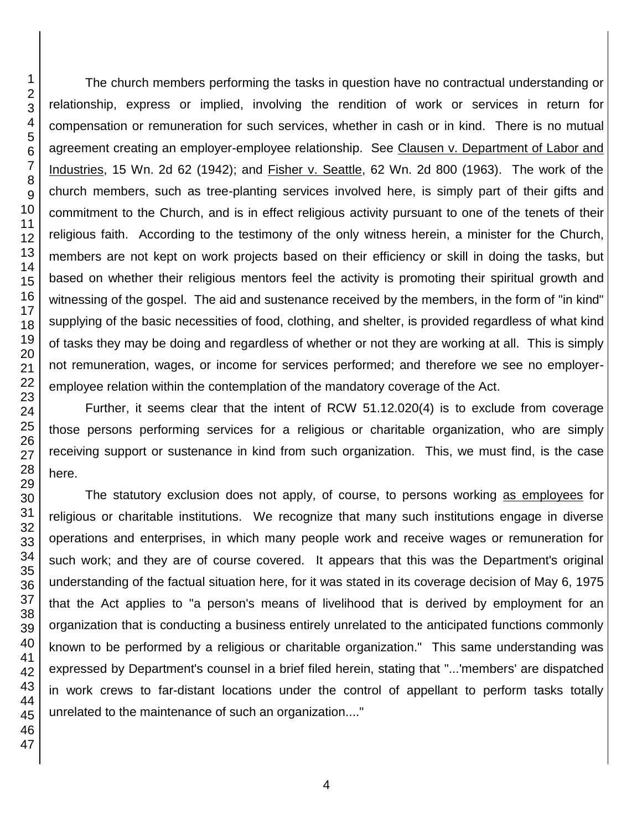The church members performing the tasks in question have no contractual understanding or relationship, express or implied, involving the rendition of work or services in return for compensation or remuneration for such services, whether in cash or in kind. There is no mutual agreement creating an employer-employee relationship. See Clausen v. Department of Labor and Industries, 15 Wn. 2d 62 (1942); and Fisher v. Seattle, 62 Wn. 2d 800 (1963). The work of the church members, such as tree-planting services involved here, is simply part of their gifts and commitment to the Church, and is in effect religious activity pursuant to one of the tenets of their religious faith. According to the testimony of the only witness herein, a minister for the Church, members are not kept on work projects based on their efficiency or skill in doing the tasks, but based on whether their religious mentors feel the activity is promoting their spiritual growth and witnessing of the gospel. The aid and sustenance received by the members, in the form of "in kind" supplying of the basic necessities of food, clothing, and shelter, is provided regardless of what kind of tasks they may be doing and regardless of whether or not they are working at all. This is simply not remuneration, wages, or income for services performed; and therefore we see no employeremployee relation within the contemplation of the mandatory coverage of the Act.

Further, it seems clear that the intent of RCW 51.12.020(4) is to exclude from coverage those persons performing services for a religious or charitable organization, who are simply receiving support or sustenance in kind from such organization. This, we must find, is the case here.

The statutory exclusion does not apply, of course, to persons working as employees for religious or charitable institutions. We recognize that many such institutions engage in diverse operations and enterprises, in which many people work and receive wages or remuneration for such work; and they are of course covered. It appears that this was the Department's original understanding of the factual situation here, for it was stated in its coverage decision of May 6, 1975 that the Act applies to "a person's means of livelihood that is derived by employment for an organization that is conducting a business entirely unrelated to the anticipated functions commonly known to be performed by a religious or charitable organization." This same understanding was expressed by Department's counsel in a brief filed herein, stating that "...'members' are dispatched in work crews to far-distant locations under the control of appellant to perform tasks totally unrelated to the maintenance of such an organization...."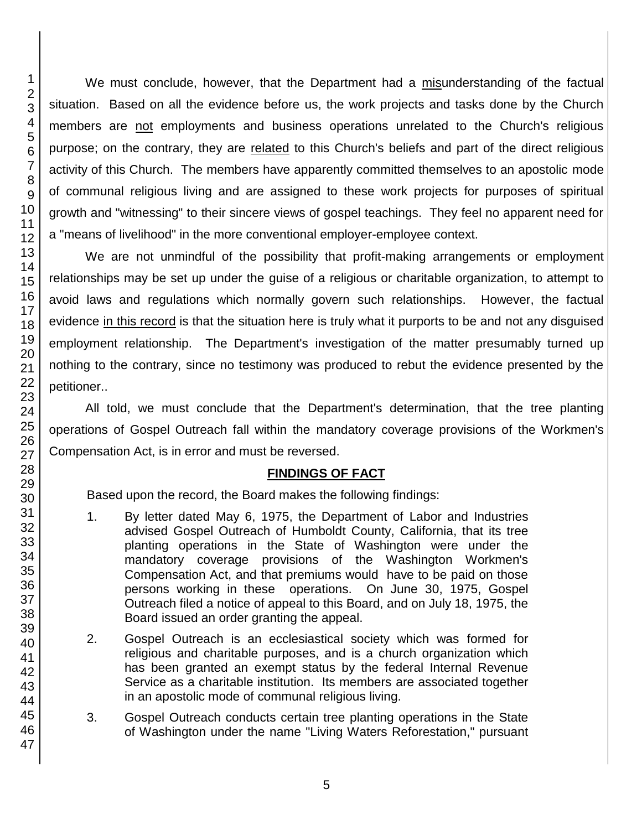We must conclude, however, that the Department had a misunderstanding of the factual situation. Based on all the evidence before us, the work projects and tasks done by the Church members are not employments and business operations unrelated to the Church's religious purpose; on the contrary, they are related to this Church's beliefs and part of the direct religious activity of this Church. The members have apparently committed themselves to an apostolic mode of communal religious living and are assigned to these work projects for purposes of spiritual growth and "witnessing" to their sincere views of gospel teachings. They feel no apparent need for a "means of livelihood" in the more conventional employer-employee context.

We are not unmindful of the possibility that profit-making arrangements or employment relationships may be set up under the guise of a religious or charitable organization, to attempt to avoid laws and regulations which normally govern such relationships. However, the factual evidence in this record is that the situation here is truly what it purports to be and not any disguised employment relationship. The Department's investigation of the matter presumably turned up nothing to the contrary, since no testimony was produced to rebut the evidence presented by the petitioner..

All told, we must conclude that the Department's determination, that the tree planting operations of Gospel Outreach fall within the mandatory coverage provisions of the Workmen's Compensation Act, is in error and must be reversed.

## **FINDINGS OF FACT**

Based upon the record, the Board makes the following findings:

- 1. By letter dated May 6, 1975, the Department of Labor and Industries advised Gospel Outreach of Humboldt County, California, that its tree planting operations in the State of Washington were under the mandatory coverage provisions of the Washington Workmen's Compensation Act, and that premiums would have to be paid on those persons working in these operations. On June 30, 1975, Gospel Outreach filed a notice of appeal to this Board, and on July 18, 1975, the Board issued an order granting the appeal.
- 2. Gospel Outreach is an ecclesiastical society which was formed for religious and charitable purposes, and is a church organization which has been granted an exempt status by the federal Internal Revenue Service as a charitable institution. Its members are associated together in an apostolic mode of communal religious living.
- 3. Gospel Outreach conducts certain tree planting operations in the State of Washington under the name "Living Waters Reforestation," pursuant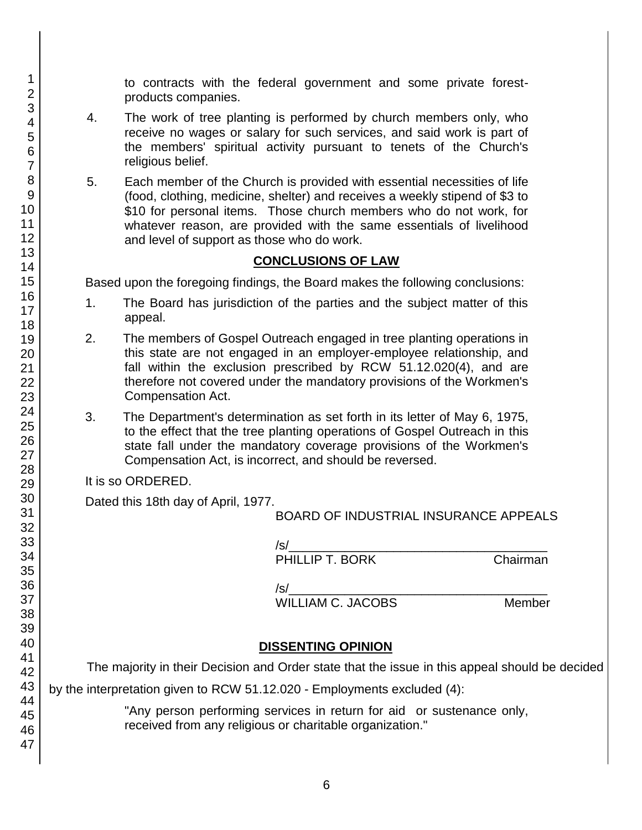to contracts with the federal government and some private forestproducts companies.

- 4. The work of tree planting is performed by church members only, who receive no wages or salary for such services, and said work is part of the members' spiritual activity pursuant to tenets of the Church's religious belief.
- 5. Each member of the Church is provided with essential necessities of life (food, clothing, medicine, shelter) and receives a weekly stipend of \$3 to \$10 for personal items. Those church members who do not work, for whatever reason, are provided with the same essentials of livelihood and level of support as those who do work.

#### **CONCLUSIONS OF LAW**

Based upon the foregoing findings, the Board makes the following conclusions:

- 1. The Board has jurisdiction of the parties and the subject matter of this appeal.
- 2. The members of Gospel Outreach engaged in tree planting operations in this state are not engaged in an employer-employee relationship, and fall within the exclusion prescribed by RCW 51.12.020(4), and are therefore not covered under the mandatory provisions of the Workmen's Compensation Act.
- 3. The Department's determination as set forth in its letter of May 6, 1975, to the effect that the tree planting operations of Gospel Outreach in this state fall under the mandatory coverage provisions of the Workmen's Compensation Act, is incorrect, and should be reversed.

It is so ORDERED.

Dated this 18th day of April, 1977.

BOARD OF INDUSTRIAL INSURANCE APPEALS

| /s/             |          |
|-----------------|----------|
| PHILLIP T. BORK | Chairman |

 $|S|$ 

WILLIAM C. JACOBS Member

## **DISSENTING OPINION**

The majority in their Decision and Order state that the issue in this appeal should be decided

by the interpretation given to RCW 51.12.020 - Employments excluded (4):

"Any person performing services in return for aid or sustenance only, received from any religious or charitable organization."